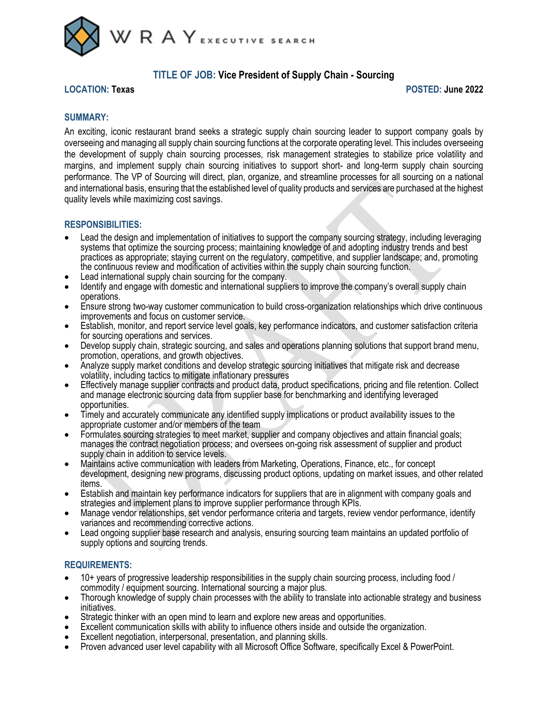

# **TITLE OF JOB: Vice President of Supply Chain - Sourcing**

#### **LOCATION: Texas POSTED: June 2022**

# **SUMMARY:**

An exciting, iconic restaurant brand seeks a strategic supply chain sourcing leader to support company goals by overseeing and managing all supply chain sourcing functions at the corporate operating level. This includes overseeing the development of supply chain sourcing processes, risk management strategies to stabilize price volatility and margins, and implement supply chain sourcing initiatives to support short- and long-term supply chain sourcing performance. The VP of Sourcing will direct, plan, organize, and streamline processes for all sourcing on a national and international basis, ensuring that the established level of quality products and services are purchased at the highest quality levels while maximizing cost savings.

### **RESPONSIBILITIES:**

- Lead the design and implementation of initiatives to support the company sourcing strategy, including leveraging systems that optimize the sourcing process; maintaining knowledge of and adopting industry trends and best practices as appropriate; staying current on the regulatory, competitive, and supplier landscape; and, promoting the continuous review and modification of activities within the supply chain sourcing function.
- Lead international supply chain sourcing for the company.
- Identify and engage with domestic and international suppliers to improve the company's overall supply chain operations.
- Ensure strong two-way customer communication to build cross-organization relationships which drive continuous improvements and focus on customer service.
- Establish, monitor, and report service level goals, key performance indicators, and customer satisfaction criteria for sourcing operations and services.
- Develop supply chain, strategic sourcing, and sales and operations planning solutions that support brand menu, promotion, operations, and growth objectives.
- Analyze supply market conditions and develop strategic sourcing initiatives that mitigate risk and decrease volatility, including tactics to mitigate inflationary pressures
- Effectively manage supplier contracts and product data, product specifications, pricing and file retention. Collect and manage electronic sourcing data from supplier base for benchmarking and identifying leveraged opportunities.
- Timely and accurately communicate any identified supply implications or product availability issues to the appropriate customer and/or members of the team
- Formulates sourcing strategies to meet market, supplier and company objectives and attain financial goals; manages the contract negotiation process; and oversees on-going risk assessment of supplier and product supply chain in addition to service levels.
- Maintains active communication with leaders from Marketing, Operations, Finance, etc., for concept development, designing new programs, discussing product options, updating on market issues, and other related items.
- Establish and maintain key performance indicators for suppliers that are in alignment with company goals and strategies and implement plans to improve supplier performance through KPIs.
- Manage vendor relationships, set vendor performance criteria and targets, review vendor performance, identify variances and recommending corrective actions.
- Lead ongoing supplier base research and analysis, ensuring sourcing team maintains an updated portfolio of supply options and sourcing trends.

# **REQUIREMENTS:**

- 10+ years of progressive leadership responsibilities in the supply chain sourcing process, including food / commodity / equipment sourcing. International sourcing a major plus.
- Thorough knowledge of supply chain processes with the ability to translate into actionable strategy and business initiatives.
- Strategic thinker with an open mind to learn and explore new areas and opportunities.
- Excellent communication skills with ability to influence others inside and outside the organization.
- Excellent negotiation, interpersonal, presentation, and planning skills.
- Proven advanced user level capability with all Microsoft Office Software, specifically Excel & PowerPoint.